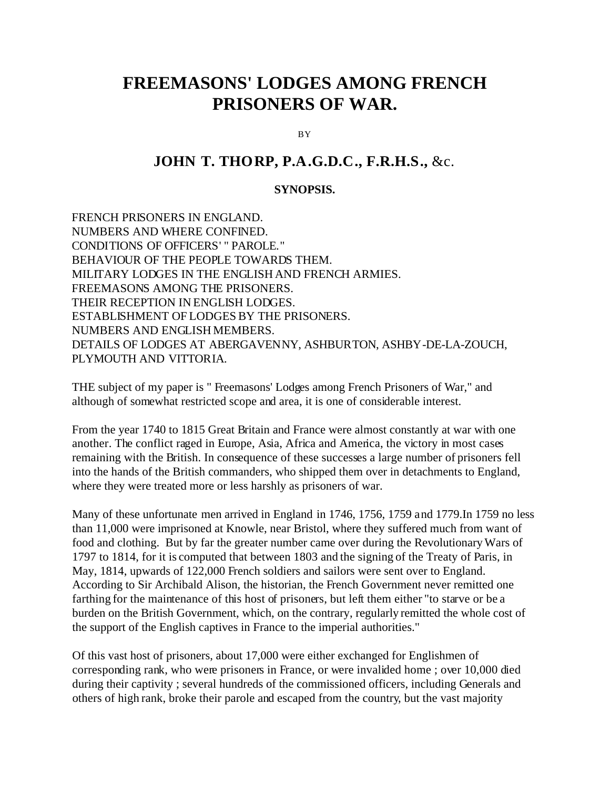# **FREEMASONS' LODGES AMONG FRENCH PRISONERS OF WAR.**

**BY** 

## **JOHN T. THORP, P.A.G.D.C., F.R.H.S.,** &c.

#### **SYNOPSIS.**

FRENCH PRISONERS IN ENGLAND. NUMBERS AND WHERE CONFINED. CONDITIONS OF OFFICERS' " PAROLE." BEHAVIOUR OF THE PEOPLE TOWARDS THEM. MILITARY LODGES IN THE ENGLISH AND FRENCH ARMIES. FREEMASONS AMONG THE PRISONERS. THEIR RECEPTION IN ENGLISH LODGES. ESTABLISHMENT OF LODGES BY THE PRISONERS. NUMBERS AND ENGLISH MEMBERS. DETAILS OF LODGES AT ABERGAVENNY, ASHBURTON, ASHBY-DE-LA-ZOUCH, PLYMOUTH AND VITTORIA.

THE subject of my paper is " Freemasons' Lodges among French Prisoners of War," and although of somewhat restricted scope and area, it is one of considerable interest.

From the year 1740 to 1815 Great Britain and France were almost constantly at war with one another. The conflict raged in Europe, Asia, Africa and America, the victory in most cases remaining with the British. In consequence of these successes a large number of prisoners fell into the hands of the British commanders, who shipped them over in detachments to England, where they were treated more or less harshly as prisoners of war.

Many of these unfortunate men arrived in England in 1746, 1756, 1759 and 1779.In 1759 no less than 11,000 were imprisoned at Knowle, near Bristol, where they suffered much from want of food and clothing. But by far the greater number came over during the Revolutionary Wars of 1797 to 1814, for it is computed that between 1803 and the signing of the Treaty of Paris, in May, 1814, upwards of 122,000 French soldiers and sailors were sent over to England. According to Sir Archibald Alison, the historian, the French Government never remitted one farthing for the maintenance of this host of prisoners, but left them either "to starve or be a burden on the British Government, which, on the contrary, regularly remitted the whole cost of the support of the English captives in France to the imperial authorities."

Of this vast host of prisoners, about 17,000 were either exchanged for Englishmen of corresponding rank, who were prisoners in France, or were invalided home ; over 10,000 died during their captivity ; several hundreds of the commissioned officers, including Generals and others of high rank, broke their parole and escaped from the country, but the vast majority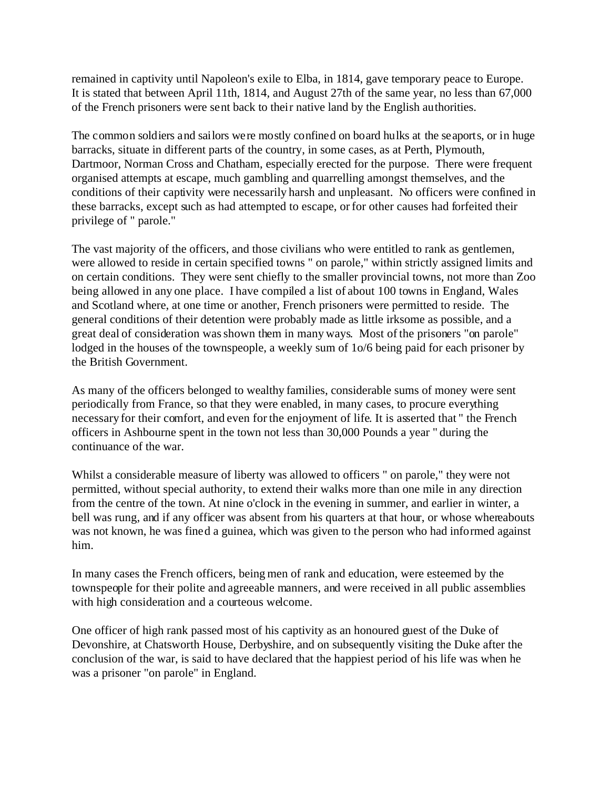remained in captivity until Napoleon's exile to Elba, in 1814, gave temporary peace to Europe. It is stated that between April 11th, 1814, and August 27th of the same year, no less than 67,000 of the French prisoners were sent back to their native land by the English authorities.

The common soldiers and sailors were mostly confined on board hulks at the seaports, or in huge barracks, situate in different parts of the country, in some cases, as at Perth, Plymouth, Dartmoor, Norman Cross and Chatham, especially erected for the purpose. There were frequent organised attempts at escape, much gambling and quarrelling amongst themselves, and the conditions of their captivity were necessarily harsh and unpleasant. No officers were confined in these barracks, except such as had attempted to escape, or for other causes had forfeited their privilege of " parole."

The vast majority of the officers, and those civilians who were entitled to rank as gentlemen, were allowed to reside in certain specified towns " on parole," within strictly assigned limits and on certain conditions. They were sent chiefly to the smaller provincial towns, not more than Zoo being allowed in any one place. I have compiled a list of about 100 towns in England, Wales and Scotland where, at one time or another, French prisoners were permitted to reside. The general conditions of their detention were probably made as little irksome as possible, and a great deal of consideration was shown them in many ways. Most of the prisoners "on parole" lodged in the houses of the townspeople, a weekly sum of  $10/6$  being paid for each prisoner by the British Government.

As many of the officers belonged to wealthy families, considerable sums of money were sent periodically from France, so that they were enabled, in many cases, to procure everything necessary for their comfort, and even for the enjoyment of life. It is asserted that " the French officers in Ashbourne spent in the town not less than 30,000 Pounds a year " during the continuance of the war.

Whilst a considerable measure of liberty was allowed to officers " on parole," they were not permitted, without special authority, to extend their walks more than one mile in any direction from the centre of the town. At nine o'clock in the evening in summer, and earlier in winter, a bell was rung, and if any officer was absent from his quarters at that hour, or whose whereabouts was not known, he was fined a guinea, which was given to the person who had informed against him.

In many cases the French officers, being men of rank and education, were esteemed by the townspeople for their polite and agreeable manners, and were received in all public assemblies with high consideration and a courteous welcome.

One officer of high rank passed most of his captivity as an honoured guest of the Duke of Devonshire, at Chatsworth House, Derbyshire, and on subsequently visiting the Duke after the conclusion of the war, is said to have declared that the happiest period of his life was when he was a prisoner "on parole" in England.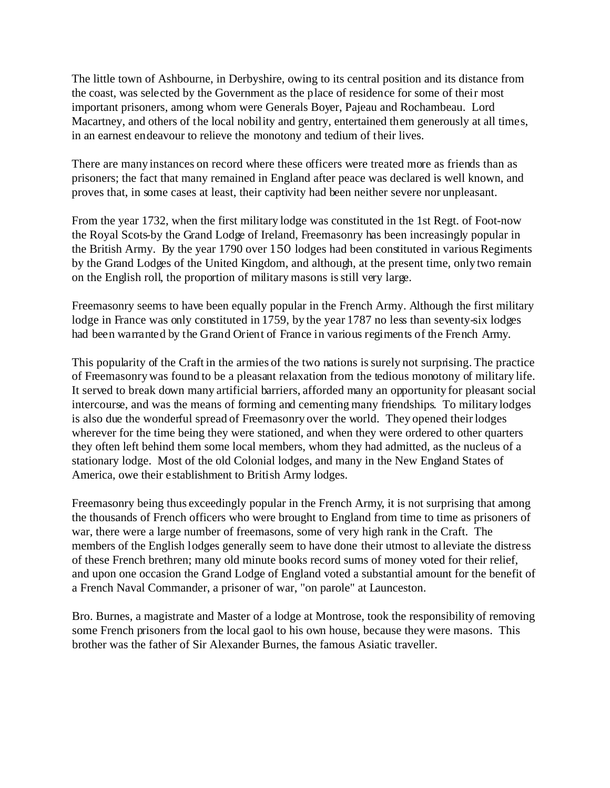The little town of Ashbourne, in Derbyshire, owing to its central position and its distance from the coast, was selected by the Government as the place of residence for some of their most important prisoners, among whom were Generals Boyer, Pajeau and Rochambeau. Lord Macartney, and others of the local nobility and gentry, entertained them generously at all times, in an earnest endeavour to relieve the monotony and tedium of their lives.

There are many instances on record where these officers were treated more as friends than as prisoners; the fact that many remained in England after peace was declared is well known, and proves that, in some cases at least, their captivity had been neither severe nor unpleasant.

From the year 1732, when the first military lodge was constituted in the 1st Regt. of Foot-now the Royal Scots-by the Grand Lodge of Ireland, Freemasonry has been increasingly popular in the British Army. By the year 1790 over 150 lodges had been constituted in various Regiments by the Grand Lodges of the United Kingdom, and although, at the present time, only two remain on the English roll, the proportion of military masons is still very large.

Freemasonry seems to have been equally popular in the French Army. Although the first military lodge in France was only constituted in 1759, by the year 1787 no less than seventy-six lodges had been warranted by the Grand Orient of France in various regiments of the French Army.

This popularity of the Craft in the armies of the two nations is surely not surprising. The practice of Freemasonry was found to be a pleasant relaxation from the tedious monotony of military life. It served to break down many artificial barriers, afforded many an opportunity for pleasant social intercourse, and was the means of forming and cementing many friendships. To military lodges is also due the wonderful spread of Freemasonry over the world. They opened their lodges wherever for the time being they were stationed, and when they were ordered to other quarters they often left behind them some local members, whom they had admitted, as the nucleus of a stationary lodge. Most of the old Colonial lodges, and many in the New England States of America, owe their establishment to British Army lodges.

Freemasonry being thus exceedingly popular in the French Army, it is not surprising that among the thousands of French officers who were brought to England from time to time as prisoners of war, there were a large number of freemasons, some of very high rank in the Craft. The members of the English lodges generally seem to have done their utmost to alleviate the distress of these French brethren; many old minute books record sums of money voted for their relief, and upon one occasion the Grand Lodge of England voted a substantial amount for the benefit of a French Naval Commander, a prisoner of war, "on parole" at Launceston.

Bro. Burnes, a magistrate and Master of a lodge at Montrose, took the responsibility of removing some French prisoners from the local gaol to his own house, because they were masons. This brother was the father of Sir Alexander Burnes, the famous Asiatic traveller.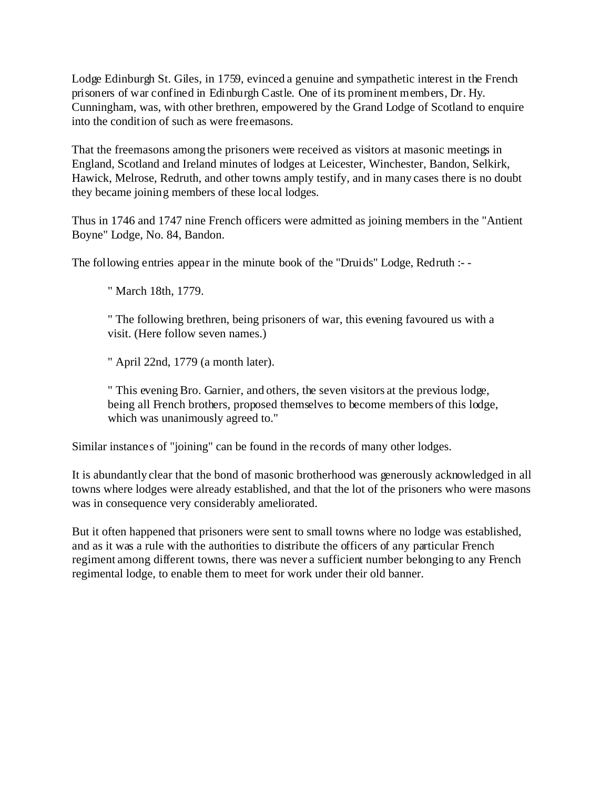Lodge Edinburgh St. Giles, in 1759, evinced a genuine and sympathetic interest in the French prisoners of war confined in Edinburgh Castle. One of its prominent members, Dr. Hy. Cunningham, was, with other brethren, empowered by the Grand Lodge of Scotland to enquire into the condition of such as were freemasons.

That the freemasons among the prisoners were received as visitors at masonic meetings in England, Scotland and Ireland minutes of lodges at Leicester, Winchester, Bandon, Selkirk, Hawick, Melrose, Redruth, and other towns amply testify, and in many cases there is no doubt they became joining members of these local lodges.

Thus in 1746 and 1747 nine French officers were admitted as joining members in the "Antient Boyne" Lodge, No. 84, Bandon.

The following entries appear in the minute book of the "Druids" Lodge, Redruth :- -

" March 18th, 1779.

" The following brethren, being prisoners of war, this evening favoured us with a visit. (Here follow seven names.)

" April 22nd, 1779 (a month later).

" This evening Bro. Garnier, and others, the seven visitors at the previous lodge, being all French brothers, proposed themselves to become members of this lodge, which was unanimously agreed to."

Similar instances of "joining" can be found in the records of many other lodges.

It is abundantly clear that the bond of masonic brotherhood was generously acknowledged in all towns where lodges were already established, and that the lot of the prisoners who were masons was in consequence very considerably ameliorated.

But it often happened that prisoners were sent to small towns where no lodge was established, and as it was a rule with the authorities to distribute the officers of any particular French regiment among different towns, there was never a sufficient number belonging to any French regimental lodge, to enable them to meet for work under their old banner.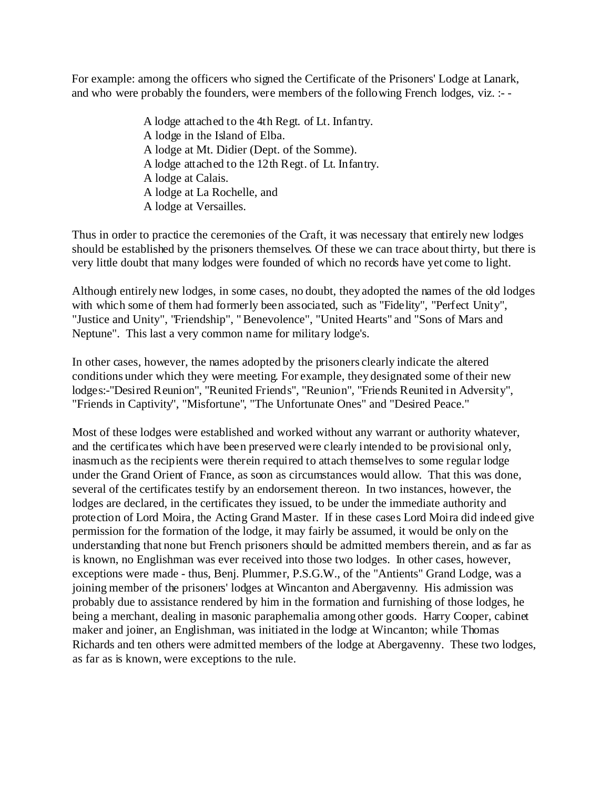For example: among the officers who signed the Certificate of the Prisoners' Lodge at Lanark, and who were probably the founders, were members of the following French lodges, viz. :- -

> A lodge attached to the 4th Regt. of Lt. Infantry. A lodge in the Island of Elba. A lodge at Mt. Didier (Dept. of the Somme). A lodge attached to the 12th Regt. of Lt. Infantry. A lodge at Calais. A lodge at La Rochelle, and A lodge at Versailles.

Thus in order to practice the ceremonies of the Craft, it was necessary that entirely new lodges should be established by the prisoners themselves. Of these we can trace about thirty, but there is very little doubt that many lodges were founded of which no records have yet come to light.

Although entirely new lodges, in some cases, no doubt, they adopted the names of the old lodges with which some of them had formerly been associated, such as "Fidelity", "Perfect Unity", "Justice and Unity", "Friendship", " Benevolence", "United Hearts" and "Sons of Mars and Neptune". This last a very common name for military lodge's.

In other cases, however, the names adopted by the prisoners clearly indicate the altered conditions under which they were meeting. For example, they designated some of their new lodges:-"Desired Reunion", "Reunited Friends", "Reunion", "Friends Reunited in Adversity", "Friends in Captivity", "Misfortune", "The Unfortunate Ones" and "Desired Peace."

Most of these lodges were established and worked without any warrant or authority whatever, and the certificates which have been preserved were clearly intended to be provisional only, inasmuch as the recipients were therein required to attach themselves to some regular lodge under the Grand Orient of France, as soon as circumstances would allow. That this was done, several of the certificates testify by an endorsement thereon. In two instances, however, the lodges are declared, in the certificates they issued, to be under the immediate authority and protection of Lord Moira, the Acting Grand Master. If in these cases Lord Moira did indeed give permission for the formation of the lodge, it may fairly be assumed, it would be only on the understanding that none but French prisoners should be admitted members therein, and as far as is known, no Englishman was ever received into those two lodges. In other cases, however, exceptions were made - thus, Benj. Plummer, P.S.G.W., of the "Antients" Grand Lodge, was a joining member of the prisoners' lodges at Wincanton and Abergavenny. His admission was probably due to assistance rendered by him in the formation and furnishing of those lodges, he being a merchant, dealing in masonic paraphernalia among other goods. Harry Cooper, cabinet maker and joiner, an Englishman, was initiated in the lodge at Wincanton; while Thomas Richards and ten others were admitted members of the lodge at Abergavenny. These two lodges, as far as is known, were exceptions to the rule.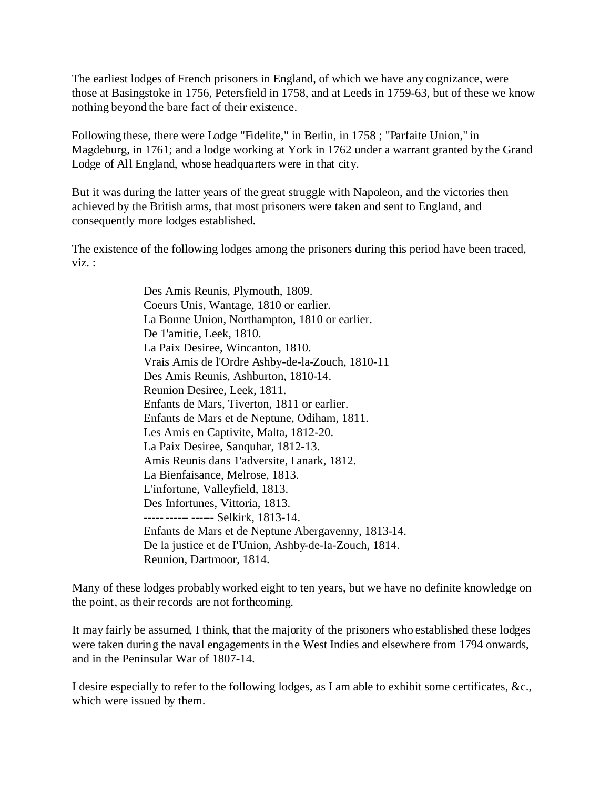The earliest lodges of French prisoners in England, of which we have any cognizance, were those at Basingstoke in 1756, Petersfield in 1758, and at Leeds in 1759-63, but of these we know nothing beyond the bare fact of their existence.

Following these, there were Lodge "Fidelite," in Berlin, in 1758 ; "Parfaite Union," in Magdeburg, in 1761; and a lodge working at York in 1762 under a warrant granted by the Grand Lodge of All England, whose headquarters were in that city.

But it was during the latter years of the great struggle with Napoleon, and the victories then achieved by the British arms, that most prisoners were taken and sent to England, and consequently more lodges established.

The existence of the following lodges among the prisoners during this period have been traced, viz. :

> Des Amis Reunis, Plymouth, 1809. Coeurs Unis, Wantage, 1810 or earlier. La Bonne Union, Northampton, 1810 or earlier. De 1'amitie, Leek, 1810. La Paix Desiree, Wincanton, 1810. Vrais Amis de l'Ordre Ashby-de-la-Zouch, 1810-11 Des Amis Reunis, Ashburton, 1810-14. Reunion Desiree, Leek, 1811. Enfants de Mars, Tiverton, 1811 or earlier. Enfants de Mars et de Neptune, Odiham, 1811. Les Amis en Captivite, Malta, 1812-20. La Paix Desiree, Sanquhar, 1812-13. Amis Reunis dans 1'adversite, Lanark, 1812. La Bienfaisance, Melrose, 1813. L'infortune, Valleyfield, 1813. Des Infortunes, Vittoria, 1813. ----- ------ ------ Selkirk, 1813-14. Enfants de Mars et de Neptune Abergavenny, 1813-14. De la justice et de I'Union, Ashby-de-la-Zouch, 1814. Reunion, Dartmoor, 1814.

Many of these lodges probably worked eight to ten years, but we have no definite knowledge on the point, as their records are not forthcoming.

It may fairly be assumed, I think, that the majority of the prisoners who established these lodges were taken during the naval engagements in the West Indies and elsewhere from 1794 onwards, and in the Peninsular War of 1807-14.

I desire especially to refer to the following lodges, as I am able to exhibit some certificates, &c., which were issued by them.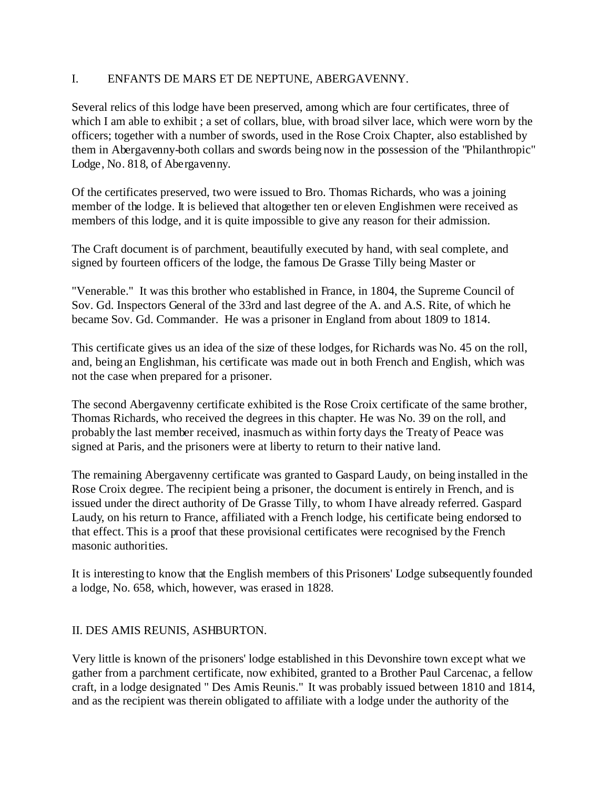#### I. ENFANTS DE MARS ET DE NEPTUNE, ABERGAVENNY.

Several relics of this lodge have been preserved, among which are four certificates, three of which I am able to exhibit ; a set of collars, blue, with broad silver lace, which were worn by the officers; together with a number of swords, used in the Rose Croix Chapter, also established by them in Abergavenny-both collars and swords being now in the possession of the "Philanthropic" Lodge, No. 818, of Abergavenny.

Of the certificates preserved, two were issued to Bro. Thomas Richards, who was a joining member of the lodge. It is believed that altogether ten or eleven Englishmen were received as members of this lodge, and it is quite impossible to give any reason for their admission.

The Craft document is of parchment, beautifully executed by hand, with seal complete, and signed by fourteen officers of the lodge, the famous De Grasse Tilly being Master or

"Venerable." It was this brother who established in France, in 1804, the Supreme Council of Sov. Gd. Inspectors General of the 33rd and last degree of the A. and A.S. Rite, of which he became Sov. Gd. Commander. He was a prisoner in England from about 1809 to 1814.

This certificate gives us an idea of the size of these lodges, for Richards was No. 45 on the roll, and, being an Englishman, his certificate was made out in both French and English, which was not the case when prepared for a prisoner.

The second Abergavenny certificate exhibited is the Rose Croix certificate of the same brother, Thomas Richards, who received the degrees in this chapter. He was No. 39 on the roll, and probably the last member received, inasmuch as within forty days the Treaty of Peace was signed at Paris, and the prisoners were at liberty to return to their native land.

The remaining Abergavenny certificate was granted to Gaspard Laudy, on being installed in the Rose Croix degree. The recipient being a prisoner, the document is entirely in French, and is issued under the direct authority of De Grasse Tilly, to whom I have already referred. Gaspard Laudy, on his return to France, affiliated with a French lodge, his certificate being endorsed to that effect. This is a proof that these provisional certificates were recognised by the French masonic authorities.

It is interesting to know that the English members of this Prisoners' Lodge subsequently founded a lodge, No. 658, which, however, was erased in 1828.

## II. DES AMIS REUNIS, ASHBURTON.

Very little is known of the prisoners' lodge established in this Devonshire town except what we gather from a parchment certificate, now exhibited, granted to a Brother Paul Carcenac, a fellow craft, in a lodge designated " Des Amis Reunis." It was probably issued between 1810 and 1814, and as the recipient was therein obligated to affiliate with a lodge under the authority of the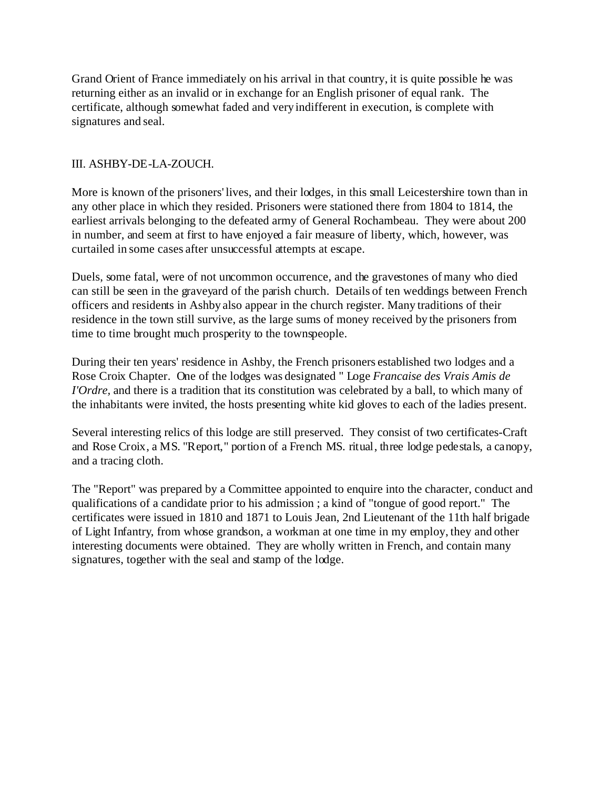Grand Orient of France immediately on his arrival in that country, it is quite possible he was returning either as an invalid or in exchange for an English prisoner of equal rank. The certificate, although somewhat faded and very indifferent in execution, is complete with signatures and seal.

#### III. ASHBY-DE-LA-ZOUCH.

More is known of the prisoners' lives, and their lodges, in this small Leicestershire town than in any other place in which they resided. Prisoners were stationed there from 1804 to 1814, the earliest arrivals belonging to the defeated army of General Rochambeau. They were about 200 in number, and seem at first to have enjoyed a fair measure of liberty, which, however, was curtailed in some cases after unsuccessful attempts at escape.

Duels, some fatal, were of not uncommon occurrence, and the gravestones of many who died can still be seen in the graveyard of the parish church. Details of ten weddings between French officers and residents in Ashby also appear in the church register. Many traditions of their residence in the town still survive, as the large sums of money received by the prisoners from time to time brought much prosperity to the townspeople.

During their ten years' residence in Ashby, the French prisoners established two lodges and a Rose Croix Chapter. One of the lodges was designated " Loge *Francaise des Vrais Amis de I'Ordre*, and there is a tradition that its constitution was celebrated by a ball, to which many of the inhabitants were invited, the hosts presenting white kid gloves to each of the ladies present.

Several interesting relics of this lodge are still preserved. They consist of two certificates-Craft and Rose Croix, a MS. "Report," portion of a French MS. ritual, three lodge pedestals, a canopy, and a tracing cloth.

The "Report" was prepared by a Committee appointed to enquire into the character, conduct and qualifications of a candidate prior to his admission ; a kind of "tongue of good report." The certificates were issued in 1810 and 1871 to Louis Jean, 2nd Lieutenant of the 11th half brigade of Light Infantry, from whose grandson, a workman at one time in my employ, they and other interesting documents were obtained. They are wholly written in French, and contain many signatures, together with the seal and stamp of the lodge.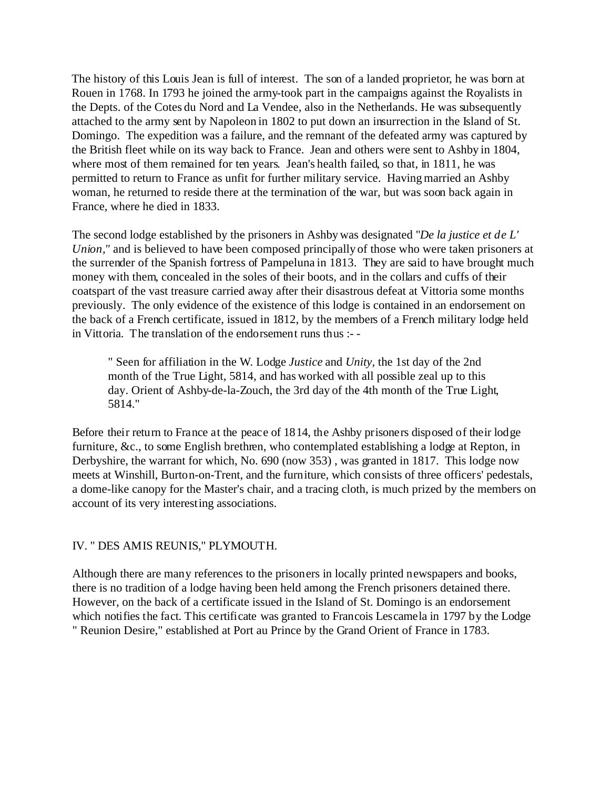The history of this Louis Jean is full of interest. The son of a landed proprietor, he was born at Rouen in 1768. In 1793 he joined the army-took part in the campaigns against the Royalists in the Depts. of the Cotes du Nord and La Vendee, also in the Netherlands. He was subsequently attached to the army sent by Napoleon in 1802 to put down an insurrection in the Island of St. Domingo. The expedition was a failure, and the remnant of the defeated army was captured by the British fleet while on its way back to France. Jean and others were sent to Ashby in 1804, where most of them remained for ten years. Jean's health failed, so that, in 1811, he was permitted to return to France as unfit for further military service. Having married an Ashby woman, he returned to reside there at the termination of the war, but was soon back again in France, where he died in 1833.

The second lodge established by the prisoners in Ashby was designated "*De la justice et de L' Union,"* and is believed to have been composed principally of those who were taken prisoners at the surrender of the Spanish fortress of Pampeluna in 1813. They are said to have brought much money with them, concealed in the soles of their boots, and in the collars and cuffs of their coatspart of the vast treasure carried away after their disastrous defeat at Vittoria some months previously. The only evidence of the existence of this lodge is contained in an endorsement on the back of a French certificate, issued in 1812, by the members of a French military lodge held in Vittoria. The translation of the endorsement runs thus :- -

" Seen for affiliation in the W. Lodge *Justice* and *Unity,* the 1st day of the 2nd month of the True Light, 5814, and has worked with all possible zeal up to this day. Orient of Ashby-de-la-Zouch, the 3rd day of the 4th month of the True Light, 5814."

Before their return to France at the peace of 1814, the Ashby prisoners disposed of their lodge furniture, &c., to some English brethren, who contemplated establishing a lodge at Repton, in Derbyshire, the warrant for which, No. 690 (now 353) , was granted in 1817. This lodge now meets at Winshill, Burton-on-Trent, and the furniture, which consists of three officers' pedestals, a dome-like canopy for the Master's chair, and a tracing cloth, is much prized by the members on account of its very interesting associations.

#### IV. " DES AMIS REUNIS," PLYMOUTH.

Although there are many references to the prisoners in locally printed newspapers and books, there is no tradition of a lodge having been held among the French prisoners detained there. However, on the back of a certificate issued in the Island of St. Domingo is an endorsement which notifies the fact. This certificate was granted to Francois Lescamela in 1797 by the Lodge " Reunion Desire," established at Port au Prince by the Grand Orient of France in 1783.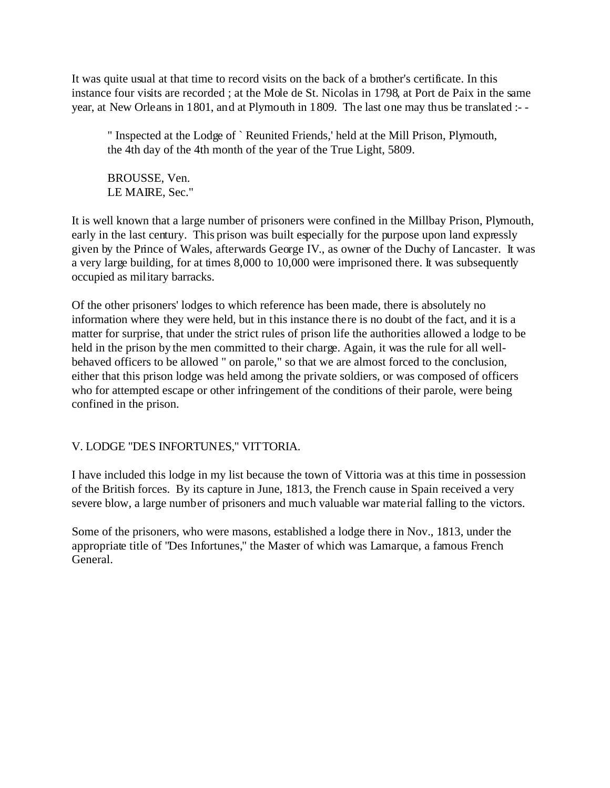It was quite usual at that time to record visits on the back of a brother's certificate. In this instance four visits are recorded ; at the Mole de St. Nicolas in 1798, at Port de Paix in the same year, at New Orleans in 1801, and at Plymouth in 1809. The last one may thus be translated :- -

" Inspected at the Lodge of ` Reunited Friends,' held at the Mill Prison, Plymouth, the 4th day of the 4th month of the year of the True Light, 5809.

BROUSSE, Ven. LE MAIRE, Sec."

It is well known that a large number of prisoners were confined in the Millbay Prison, Plymouth, early in the last century. This prison was built especially for the purpose upon land expressly given by the Prince of Wales, afterwards George IV., as owner of the Duchy of Lancaster. It was a very large building, for at times 8,000 to 10,000 were imprisoned there. It was subsequently occupied as military barracks.

Of the other prisoners' lodges to which reference has been made, there is absolutely no information where they were held, but in this instance there is no doubt of the fact, and it is a matter for surprise, that under the strict rules of prison life the authorities allowed a lodge to be held in the prison by the men committed to their charge. Again, it was the rule for all wellbehaved officers to be allowed " on parole," so that we are almost forced to the conclusion, either that this prison lodge was held among the private soldiers, or was composed of officers who for attempted escape or other infringement of the conditions of their parole, were being confined in the prison.

## V. LODGE "DES INFORTUNES," VITTORIA.

I have included this lodge in my list because the town of Vittoria was at this time in possession of the British forces. By its capture in June, 1813, the French cause in Spain received a very severe blow, a large number of prisoners and much valuable war material falling to the victors.

Some of the prisoners, who were masons, established a lodge there in Nov., 1813, under the appropriate title of "Des Infortunes," the Master of which was Lamarque, a famous French General.